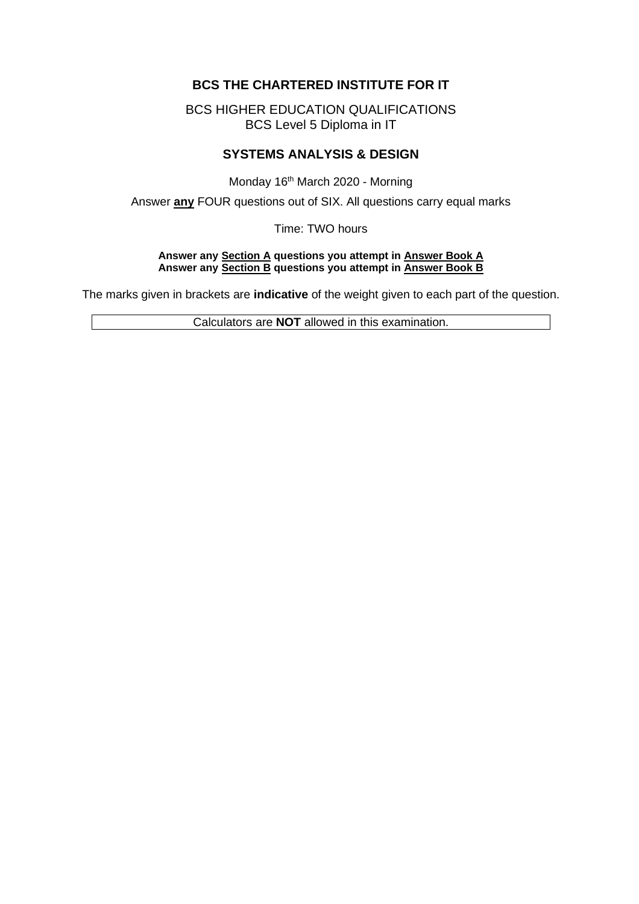# **BCS THE CHARTERED INSTITUTE FOR IT**

BCS HIGHER EDUCATION QUALIFICATIONS BCS Level 5 Diploma in IT

# **SYSTEMS ANALYSIS & DESIGN**

Monday 16<sup>th</sup> March 2020 - Morning

Answer **any** FOUR questions out of SIX. All questions carry equal marks

Time: TWO hours

#### **Answer any Section A questions you attempt in Answer Book A Answer any Section B questions you attempt in Answer Book B**

The marks given in brackets are **indicative** of the weight given to each part of the question.

Calculators are **NOT** allowed in this examination.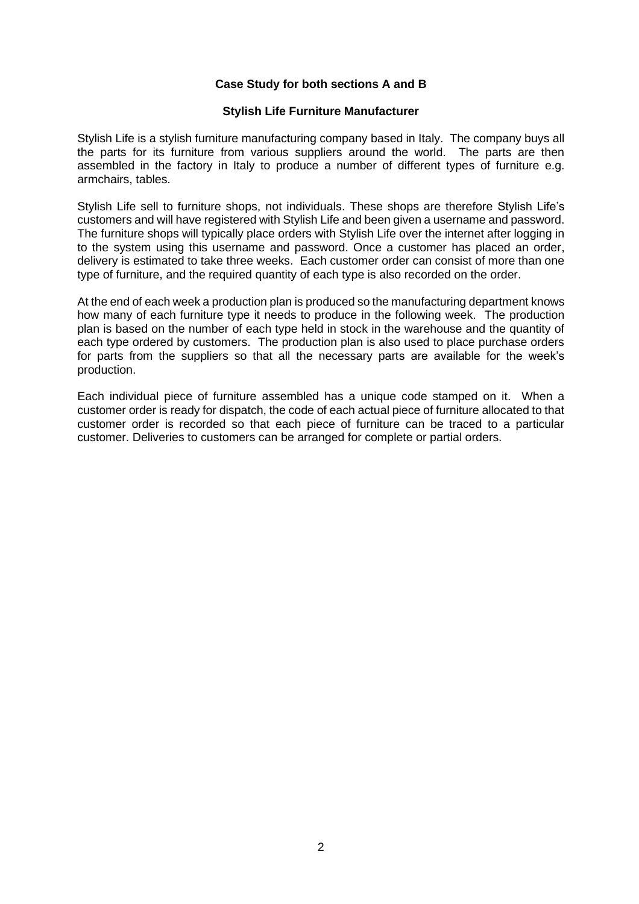#### **Case Study for both sections A and B**

#### **Stylish Life Furniture Manufacturer**

Stylish Life is a stylish furniture manufacturing company based in Italy. The company buys all the parts for its furniture from various suppliers around the world. The parts are then assembled in the factory in Italy to produce a number of different types of furniture e.g. armchairs, tables.

Stylish Life sell to furniture shops, not individuals. These shops are therefore Stylish Life's customers and will have registered with Stylish Life and been given a username and password. The furniture shops will typically place orders with Stylish Life over the internet after logging in to the system using this username and password. Once a customer has placed an order, delivery is estimated to take three weeks. Each customer order can consist of more than one type of furniture, and the required quantity of each type is also recorded on the order.

At the end of each week a production plan is produced so the manufacturing department knows how many of each furniture type it needs to produce in the following week. The production plan is based on the number of each type held in stock in the warehouse and the quantity of each type ordered by customers. The production plan is also used to place purchase orders for parts from the suppliers so that all the necessary parts are available for the week's production.

Each individual piece of furniture assembled has a unique code stamped on it. When a customer order is ready for dispatch, the code of each actual piece of furniture allocated to that customer order is recorded so that each piece of furniture can be traced to a particular customer. Deliveries to customers can be arranged for complete or partial orders.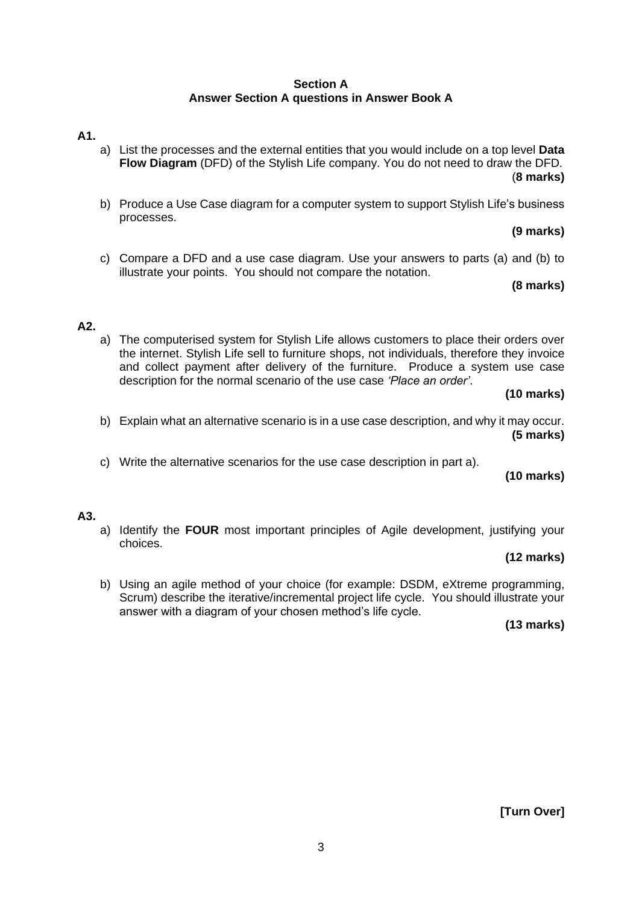#### **Section A Answer Section A questions in Answer Book A**

# **A1.**

- a) List the processes and the external entities that you would include on a top level **Data Flow Diagram** (DFD) of the Stylish Life company. You do not need to draw the DFD. (**8 marks)**
- b) Produce a Use Case diagram for a computer system to support Stylish Life's business processes.

**(9 marks)**

c) Compare a DFD and a use case diagram. Use your answers to parts (a) and (b) to illustrate your points. You should not compare the notation.

**(8 marks)**

# **A2.**

a) The computerised system for Stylish Life allows customers to place their orders over the internet. Stylish Life sell to furniture shops, not individuals, therefore they invoice and collect payment after delivery of the furniture. Produce a system use case description for the normal scenario of the use case *'Place an order'*.

# **(10 marks)**

- b) Explain what an alternative scenario is in a use case description, and why it may occur. **(5 marks)**
- c) Write the alternative scenarios for the use case description in part a).

**(10 marks)**

# **A3.**

a) Identify the **FOUR** most important principles of Agile development, justifying your choices.

#### **(12 marks)**

b) Using an agile method of your choice (for example: DSDM, eXtreme programming, Scrum) describe the iterative/incremental project life cycle. You should illustrate your answer with a diagram of your chosen method's life cycle.

**(13 marks)**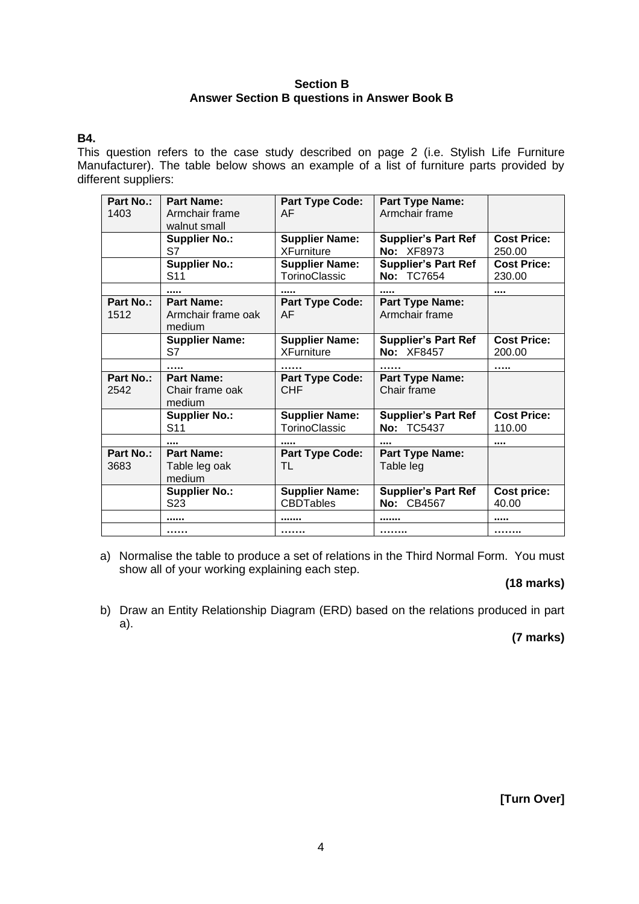#### **Section B Answer Section B questions in Answer Book B**

# **B4.**

This question refers to the case study described on page 2 (i.e. Stylish Life Furniture Manufacturer). The table below shows an example of a list of furniture parts provided by different suppliers:

| Part No.:<br>1403 | <b>Part Name:</b><br>Armchair frame<br>walnut small | <b>Part Type Code:</b><br>AF               | <b>Part Type Name:</b><br>Armchair frame           |                              |
|-------------------|-----------------------------------------------------|--------------------------------------------|----------------------------------------------------|------------------------------|
|                   | <b>Supplier No.:</b><br>S7                          | <b>Supplier Name:</b><br><b>XFurniture</b> | <b>Supplier's Part Ref</b><br>No: XF8973           | <b>Cost Price:</b><br>250.00 |
|                   | <b>Supplier No.:</b><br>S <sub>11</sub>             | <b>Supplier Name:</b><br>TorinoClassic     | <b>Supplier's Part Ref</b><br><b>TC7654</b><br>No: | <b>Cost Price:</b><br>230.00 |
|                   |                                                     |                                            |                                                    |                              |
| Part No.:<br>1512 | <b>Part Name:</b><br>Armchair frame oak<br>medium   | <b>Part Type Code:</b><br>AF               | <b>Part Type Name:</b><br>Armchair frame           |                              |
|                   | <b>Supplier Name:</b><br>S7                         | <b>Supplier Name:</b><br><b>XFurniture</b> | <b>Supplier's Part Ref</b><br>No: XF8457           | <b>Cost Price:</b><br>200.00 |
|                   | .                                                   | .                                          | .                                                  | .                            |
| Part No.:<br>2542 | <b>Part Name:</b><br>Chair frame oak<br>medium      | <b>Part Type Code:</b><br><b>CHF</b>       | <b>Part Type Name:</b><br>Chair frame              |                              |
|                   | <b>Supplier No.:</b><br>S11                         | <b>Supplier Name:</b><br>TorinoClassic     | <b>Supplier's Part Ref</b><br><b>No: TC5437</b>    | <b>Cost Price:</b><br>110.00 |
|                   |                                                     |                                            |                                                    |                              |
| Part No.:<br>3683 | <b>Part Name:</b><br>Table leg oak<br>medium        | <b>Part Type Code:</b><br>TL               | <b>Part Type Name:</b><br>Table leg                |                              |
|                   | <b>Supplier No.:</b><br>S <sub>2</sub> 3            | <b>Supplier Name:</b><br><b>CBDTables</b>  | <b>Supplier's Part Ref</b><br>No: CB4567           | Cost price:<br>40.00         |
|                   |                                                     |                                            |                                                    |                              |
|                   | .                                                   |                                            |                                                    | .                            |

a) Normalise the table to produce a set of relations in the Third Normal Form. You must show all of your working explaining each step.

# **(18 marks)**

b) Draw an Entity Relationship Diagram (ERD) based on the relations produced in part a).

**(7 marks)**

**[Turn Over]**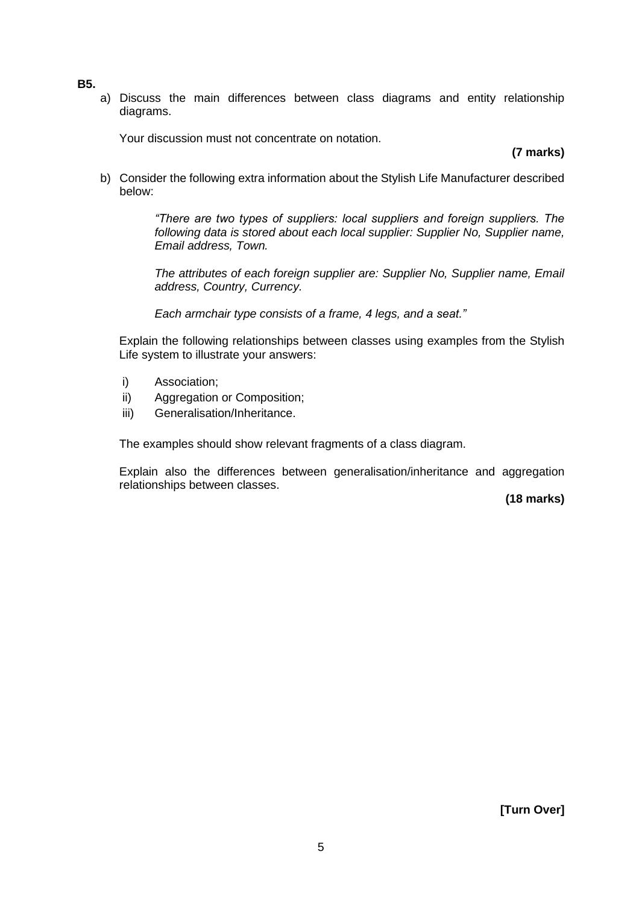- **B5.**
- a) Discuss the main differences between class diagrams and entity relationship diagrams.

Your discussion must not concentrate on notation.

**(7 marks)**

b) Consider the following extra information about the Stylish Life Manufacturer described below:

> *"There are two types of suppliers: local suppliers and foreign suppliers. The following data is stored about each local supplier: Supplier No, Supplier name, Email address, Town.*

> *The attributes of each foreign supplier are: Supplier No, Supplier name, Email address, Country, Currency.*

*Each armchair type consists of a frame, 4 legs, and a seat."*

Explain the following relationships between classes using examples from the Stylish Life system to illustrate your answers:

- i) Association;
- ii) Aggregation or Composition;
- iii) Generalisation/Inheritance.

The examples should show relevant fragments of a class diagram.

Explain also the differences between generalisation/inheritance and aggregation relationships between classes.

**(18 marks)**

**[Turn Over]**